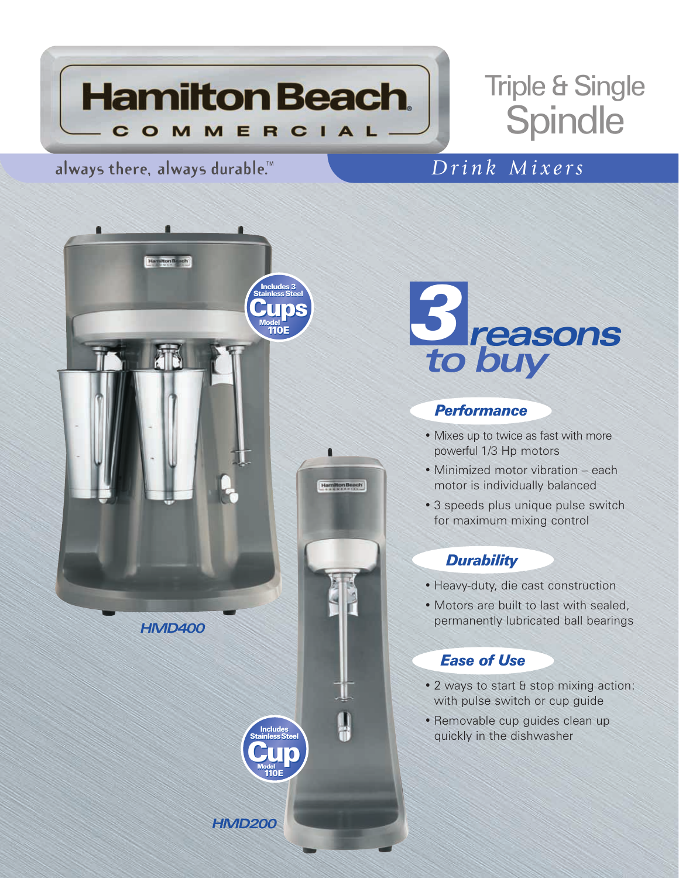

# Triple & Single **Spindle**

# **always there, always durable.™** *Drink Mixers*



*HMD200*



### *Performance*

- Mixes up to twice as fast with more powerful 1/3 Hp motors
- Minimized motor vibration each motor is individually balanced
- 3 speeds plus unique pulse switch for maximum mixing control

## *Durability*

- Heavy-duty, die cast construction
- Motors are built to last with sealed, permanently lubricated ball bearings

## *Ease of Use*

- 2 ways to start & stop mixing action: with pulse switch or cup guide
- Removable cup guides clean up quickly in the dishwasher